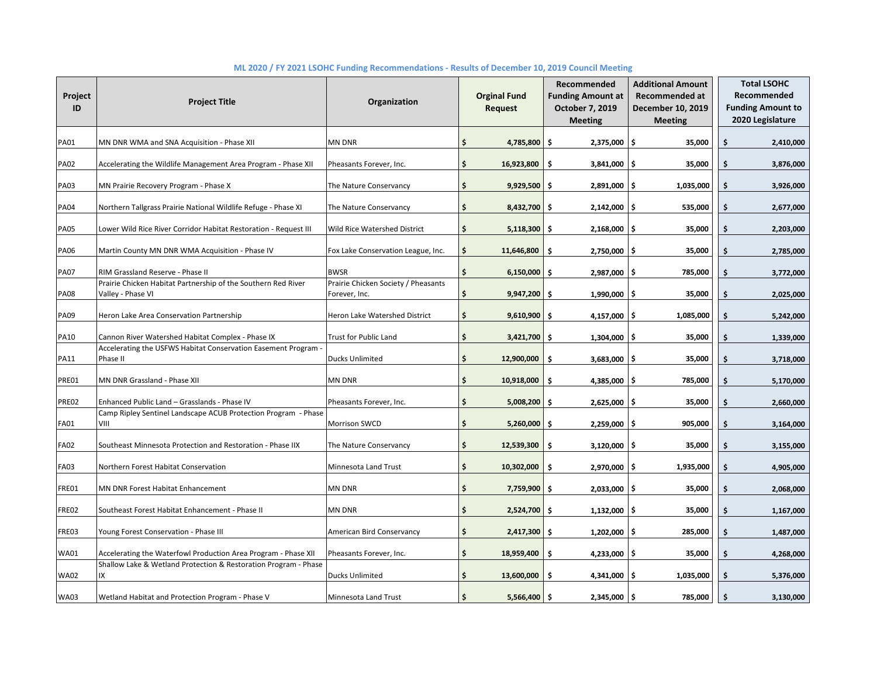| Project<br>ID | <b>Project Title</b>                                                               | Organization                                         | <b>Orginal Fund</b><br><b>Request</b> | Recommended<br><b>Funding Amount at</b><br>October 7, 2019<br><b>Meeting</b> | <b>Additional Amount</b><br><b>Recommended at</b><br>December 10, 2019<br><b>Meeting</b> |    | <b>Total LSOHC</b><br>Recommended<br><b>Funding Amount to</b><br>2020 Legislature |
|---------------|------------------------------------------------------------------------------------|------------------------------------------------------|---------------------------------------|------------------------------------------------------------------------------|------------------------------------------------------------------------------------------|----|-----------------------------------------------------------------------------------|
| <b>PA01</b>   | MN DNR WMA and SNA Acquisition - Phase XII                                         | <b>MN DNR</b>                                        | \$<br>4,785,800 \$                    | $2,375,000$   \$                                                             | 35,000                                                                                   | \$ | 2,410,000                                                                         |
| <b>PA02</b>   | Accelerating the Wildlife Management Area Program - Phase XII                      | Pheasants Forever, Inc.                              | \$<br>16,923,800                      | Ŝ.<br>3,841,000                                                              | ۱\$<br>35,000                                                                            | \$ | 3,876,000                                                                         |
| <b>PA03</b>   | MN Prairie Recovery Program - Phase X                                              | The Nature Conservancy                               | \$<br>$9,929,500$ \$                  | 2,891,000                                                                    | 1,035,000<br>۱\$                                                                         | \$ | 3,926,000                                                                         |
| <b>PA04</b>   | Northern Tallgrass Prairie National Wildlife Refuge - Phase XI                     | The Nature Conservancy                               | \$<br>$8,432,700$ \$                  | $2,142,000$ \$                                                               | 535,000                                                                                  | \$ | 2,677,000                                                                         |
| <b>PA05</b>   | Lower Wild Rice River Corridor Habitat Restoration - Request III                   | Wild Rice Watershed District                         | \$<br>$5,118,300$ \$                  | $2,168,000$ \$                                                               | 35,000                                                                                   | \$ | 2,203,000                                                                         |
| <b>PA06</b>   | Martin County MN DNR WMA Acquisition - Phase IV                                    | Fox Lake Conservation League, Inc.                   | \$<br>11,646,800                      | -\$<br>$2,750,000$ \$                                                        | 35,000                                                                                   | \$ | 2,785,000                                                                         |
| <b>PA07</b>   | RIM Grassland Reserve - Phase II                                                   | <b>BWSR</b>                                          | \$<br>$6,150,000$ \$                  | $2,987,000$ \$                                                               | 785,000                                                                                  | \$ | 3,772,000                                                                         |
| <b>PA08</b>   | Prairie Chicken Habitat Partnership of the Southern Red River<br>Valley - Phase VI | Prairie Chicken Society / Pheasants<br>Forever, Inc. | \$<br>$9,947,200$ \$                  | 1,990,000 \$                                                                 | 35,000                                                                                   | \$ | 2,025,000                                                                         |
| PA09          | Heron Lake Area Conservation Partnership                                           | Heron Lake Watershed District                        | \$<br>$9,610,900$ \$                  | 4,157,000                                                                    | ۱\$<br>1,085,000                                                                         | Ś  | 5,242,000                                                                         |
| <b>PA10</b>   | Cannon River Watershed Habitat Complex - Phase IX                                  | Trust for Public Land                                | \$<br>$3,421,700$ \$                  | 1,304,000                                                                    | l \$<br>35,000                                                                           | Ś  | 1,339,000                                                                         |
| <b>PA11</b>   | Accelerating the USFWS Habitat Conservation Easement Program -<br>Phase II         | Ducks Unlimited                                      | \$<br>12,900,000                      | \$<br>3,683,000                                                              | 35,000<br>-\$                                                                            | Ś  | 3,718,000                                                                         |
| PRE01         | MN DNR Grassland - Phase XII                                                       | MN DNR                                               | \$<br>10,918,000                      | Ŝ.<br>4,385,000 \$                                                           | 785,000                                                                                  | \$ | 5,170,000                                                                         |
| PRE02         | Enhanced Public Land - Grasslands - Phase IV                                       | Pheasants Forever, Inc.                              | \$<br>5,008,200                       | $2,625,000$ \$<br>\$                                                         | 35,000                                                                                   | \$ | 2,660,000                                                                         |
| FA01          | Camp Ripley Sentinel Landscape ACUB Protection Program - Phase<br>VIII             | Morrison SWCD                                        | \$<br>$5,260,000$ \$                  | $2,259,000$ \$                                                               | 905,000                                                                                  | \$ | 3,164,000                                                                         |
| <b>FA02</b>   | Southeast Minnesota Protection and Restoration - Phase IIX                         | The Nature Conservancy                               | \$<br>12,539,300                      | Ŝ.<br>$3,120,000$ \$                                                         | 35,000                                                                                   | \$ | 3,155,000                                                                         |
| <b>FA03</b>   | Northern Forest Habitat Conservation                                               | Minnesota Land Trust                                 | \$<br>$10,302,000$ \$                 | $2,970,000$   \$                                                             | 1,935,000                                                                                | \$ | 4,905,000                                                                         |
| FRE01         | MN DNR Forest Habitat Enhancement                                                  | MN DNR                                               | \$<br>7,759,900 \$                    | 2,033,000                                                                    | 35,000<br>۱\$                                                                            | \$ | 2,068,000                                                                         |
| FRE02         | Southeast Forest Habitat Enhancement - Phase II                                    | <b>MN DNR</b>                                        | \$<br>$2,524,700$ \$                  | 1,132,000                                                                    | 35,000<br>۱\$                                                                            | \$ | 1,167,000                                                                         |
| FRE03         | Young Forest Conservation - Phase III                                              | American Bird Conservancy                            | \$<br>$2,417,300$ \$                  | 1,202,000                                                                    | l \$<br>285,000                                                                          | \$ | 1,487,000                                                                         |
| <b>WA01</b>   | Accelerating the Waterfowl Production Area Program - Phase XII                     | Pheasants Forever, Inc.                              | \$<br>18,959,400                      | $4,233,000$ \$<br>\$                                                         | 35,000                                                                                   | \$ | 4,268,000                                                                         |
| <b>WA02</b>   | Shallow Lake & Wetland Protection & Restoration Program - Phase<br>IX              | Ducks Unlimited                                      | \$<br>13,600,000                      | -\$<br>$4,341,000$ \$                                                        | 1,035,000                                                                                | \$ | 5,376,000                                                                         |
| <b>WA03</b>   | Wetland Habitat and Protection Program - Phase V                                   | Minnesota Land Trust                                 | \$<br>$5,566,400$ \$                  | $2,345,000$ \$                                                               | 785,000                                                                                  | \$ | 3,130,000                                                                         |

## **ML 2020 / FY 2021 LSOHC Funding Recommendations - Results of December 10, 2019 Council Meeting**